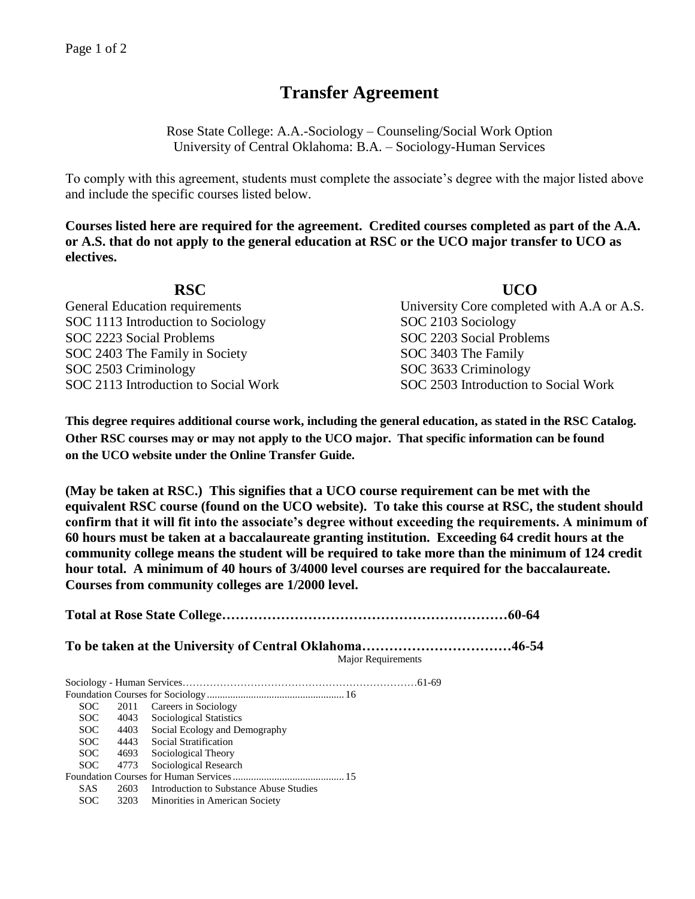## **Transfer Agreement**

Rose State College: A.A.-Sociology – Counseling/Social Work Option University of Central Oklahoma: B.A. – Sociology-Human Services

To comply with this agreement, students must complete the associate's degree with the major listed above and include the specific courses listed below.

**Courses listed here are required for the agreement. Credited courses completed as part of the A.A. or A.S. that do not apply to the general education at RSC or the UCO major transfer to UCO as electives.**

| <b>RSC</b>                            | <b>UCO</b>                                 |
|---------------------------------------|--------------------------------------------|
| <b>General Education requirements</b> | University Core completed with A.A or A.S. |
| SOC 1113 Introduction to Sociology    | SOC 2103 Sociology                         |
| SOC 2223 Social Problems              | SOC 2203 Social Problems                   |
| SOC 2403 The Family in Society        | SOC 3403 The Family                        |
| SOC 2503 Criminology                  | SOC 3633 Criminology                       |
| SOC 2113 Introduction to Social Work  | SOC 2503 Introduction to Social Work       |

**This degree requires additional course work, including the general education, as stated in the RSC Catalog. Other RSC courses may or may not apply to the UCO major. That specific information can be found on the UCO website under the Online Transfer Guide.**

**(May be taken at RSC.) This signifies that a UCO course requirement can be met with the equivalent RSC course (found on the UCO website). To take this course at RSC, the student should confirm that it will fit into the associate's degree without exceeding the requirements. A minimum of 60 hours must be taken at a baccalaureate granting institution. Exceeding 64 credit hours at the community college means the student will be required to take more than the minimum of 124 credit hour total. A minimum of 40 hours of 3/4000 level courses are required for the baccalaureate. Courses from community colleges are 1/2000 level.**

**Total at Rose State College………………………………………………………60-64 To be taken at the University of Central Oklahoma……………………………46-54** Major Requirements Sociology - Human Services……………………………………………………………61-69 Foundation Courses for Sociology ..................................................... 16 SOC 2011 Careers in Sociology<br>SOC 4043 Sociological Statistics SOC 4043 Sociological Statistics<br>SOC 4403 Social Ecology and De SOC 4403 Social Ecology and Demography<br>SOC 4443 Social Stratification SOC 4443 Social Stratification<br>SOC 4693 Sociological Theory 4693 Sociological Theory SOC 4773 Sociological Research Foundation Courses for Human Services........................................... 15 SAS 2603 Introduction to Substance Abuse Studies SOC 3203 Minorities in American Society